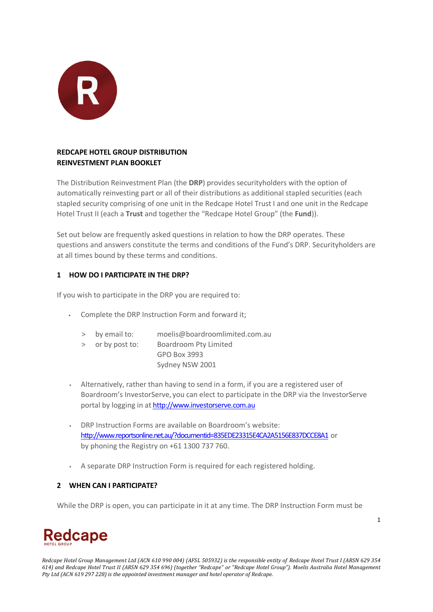

# **REDCAPE HOTEL GROUP DISTRIBUTION REINVESTMENT PLAN BOOKLET**

The Distribution Reinvestment Plan (the **DRP**) provides securityholders with the option of automatically reinvesting part or all of their distributions as additional stapled securities (each stapled security comprising of one unit in the Redcape Hotel Trust I and one unit in the Redcape Hotel Trust II (each a **Trust** and together the "Redcape Hotel Group" (the **Fund**)).

Set out below are frequently asked questions in relation to how the DRP operates. These questions and answers constitute the terms and conditions of the Fund's DRP. Securityholders are at all times bound by these terms and conditions.

# **1 HOW DO I PARTICIPATE IN THE DRP?**

If you wish to participate in the DRP you are required to:

- Complete the DRP Instruction Form and forward it;
	- > by email to: [moelis@boardroomlimited.com.au](mailto:moelis@boardroomlimited.com.au)
	- > or by post to: Boardroom Pty Limited GPO Box 3993 Sydney NSW 2001
- Alternatively, rather than having to send in a form, if you are a registered user of Boardroom's InvestorServe, you can elect to participate in the DRP via the InvestorServe portal by logging in at [http://www.investorserve.com.au](http://www.investorserve.com.au/)
- DRP Instruction Forms are available on Boardroom's website: <http://www.reportsonline.net.au/?documentid=835EDE23315E4CA2A5156E837DCCE8A1>or by phoning the Registry on +61 1300 737 760.
- A separate DRP Instruction Form is required for each registered holding.

# **2 WHEN CAN I PARTICIPATE?**

While the DRP is open, you can participate in it at any time. The DRP Instruction Form must be

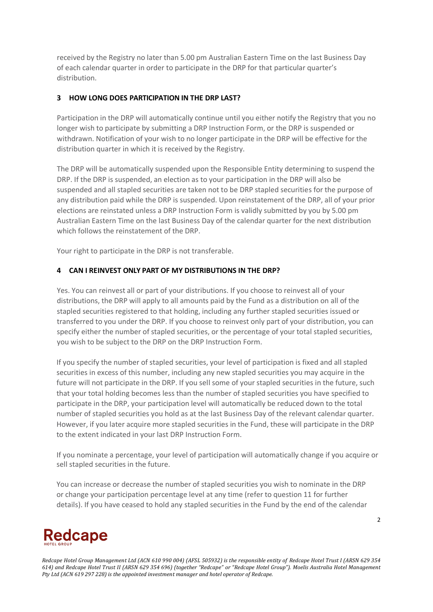received by the Registry no later than 5.00 pm Australian Eastern Time on the last Business Day of each calendar quarter in order to participate in the DRP for that particular quarter's distribution.

## **3 HOW LONG DOES PARTICIPATION IN THE DRP LAST?**

Participation in the DRP will automatically continue until you either notify the Registry that you no longer wish to participate by submitting a DRP Instruction Form, or the DRP is suspended or withdrawn. Notification of your wish to no longer participate in the DRP will be effective for the distribution quarter in which it is received by the Registry.

The DRP will be automatically suspended upon the Responsible Entity determining to suspend the DRP. If the DRP is suspended, an election as to your participation in the DRP will also be suspended and all stapled securities are taken not to be DRP stapled securities for the purpose of any distribution paid while the DRP is suspended. Upon reinstatement of the DRP, all of your prior elections are reinstated unless a DRP Instruction Form is validly submitted by you by 5.00 pm Australian Eastern Time on the last Business Day of the calendar quarter for the next distribution which follows the reinstatement of the DRP.

Your right to participate in the DRP is not transferable.

### **4 CAN I REINVEST ONLY PART OF MY DISTRIBUTIONS IN THE DRP?**

Yes. You can reinvest all or part of your distributions. If you choose to reinvest all of your distributions, the DRP will apply to all amounts paid by the Fund as a distribution on all of the stapled securities registered to that holding, including any further stapled securities issued or transferred to you under the DRP. If you choose to reinvest only part of your distribution, you can specify either the number of stapled securities, or the percentage of your total stapled securities, you wish to be subject to the DRP on the DRP Instruction Form.

If you specify the number of stapled securities, your level of participation is fixed and all stapled securities in excess of this number, including any new stapled securities you may acquire in the future will not participate in the DRP. If you sell some of your stapled securities in the future, such that your total holding becomes less than the number of stapled securities you have specified to participate in the DRP, your participation level will automatically be reduced down to the total number of stapled securities you hold as at the last Business Day of the relevant calendar quarter. However, if you later acquire more stapled securities in the Fund, these will participate in the DRP to the extent indicated in your last DRP Instruction Form.

If you nominate a percentage, your level of participation will automatically change if you acquire or sell stapled securities in the future.

You can increase or decrease the number of stapled securities you wish to nominate in the DRP or change your participation percentage level at any time (refer to question 11 for further details). If you have ceased to hold any stapled securities in the Fund by the end of the calendar

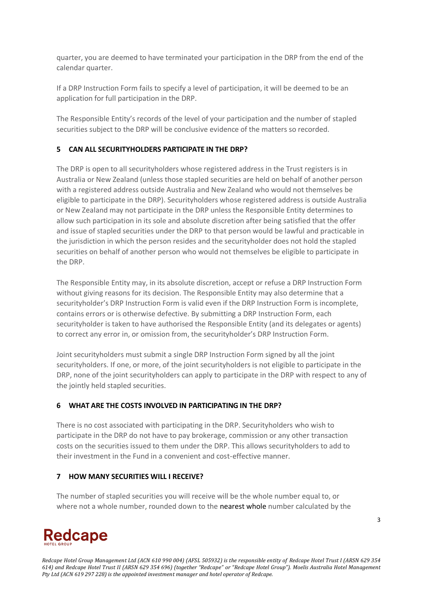quarter, you are deemed to have terminated your participation in the DRP from the end of the calendar quarter.

If a DRP Instruction Form fails to specify a level of participation, it will be deemed to be an application for full participation in the DRP.

The Responsible Entity's records of the level of your participation and the number of stapled securities subject to the DRP will be conclusive evidence of the matters so recorded.

## **5 CAN ALL SECURITYHOLDERS PARTICIPATE IN THE DRP?**

The DRP is open to all securityholders whose registered address in the Trust registers is in Australia or New Zealand (unless those stapled securities are held on behalf of another person with a registered address outside Australia and New Zealand who would not themselves be eligible to participate in the DRP). Securityholders whose registered address is outside Australia or New Zealand may not participate in the DRP unless the Responsible Entity determines to allow such participation in its sole and absolute discretion after being satisfied that the offer and issue of stapled securities under the DRP to that person would be lawful and practicable in the jurisdiction in which the person resides and the securityholder does not hold the stapled securities on behalf of another person who would not themselves be eligible to participate in the DRP.

The Responsible Entity may, in its absolute discretion, accept or refuse a DRP Instruction Form without giving reasons for its decision. The Responsible Entity may also determine that a securityholder's DRP Instruction Form is valid even if the DRP Instruction Form is incomplete, contains errors or is otherwise defective. By submitting a DRP Instruction Form, each securityholder is taken to have authorised the Responsible Entity (and its delegates or agents) to correct any error in, or omission from, the securityholder's DRP Instruction Form.

Joint securityholders must submit a single DRP Instruction Form signed by all the joint securityholders. If one, or more, of the joint securityholders is not eligible to participate in the DRP, none of the joint securityholders can apply to participate in the DRP with respect to any of the jointly held stapled securities.

### **6 WHAT ARE THE COSTS INVOLVED IN PARTICIPATING IN THE DRP?**

There is no cost associated with participating in the DRP. Securityholders who wish to participate in the DRP do not have to pay brokerage, commission or any other transaction costs on the securities issued to them under the DRP. This allows securityholders to add to their investment in the Fund in a convenient and cost-effective manner.

### **7 HOW MANY SECURITIES WILL I RECEIVE?**

The number of stapled securities you will receive will be the whole number equal to, or where not a whole number, rounded down to the nearest whole number calculated by the

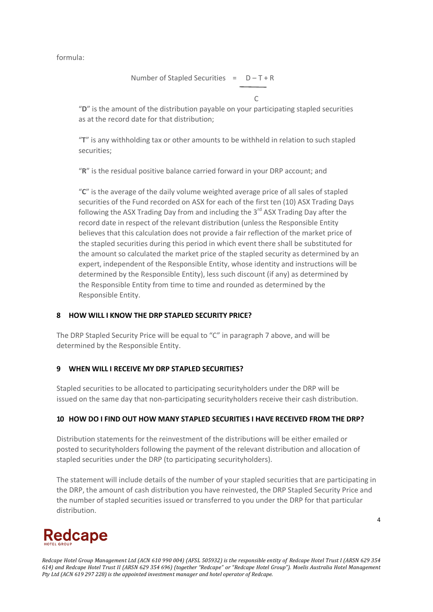formula:

Number of Stapled Securities =  $D - T + R$ 

"**D**" is the amount of the distribution payable on your participating stapled securities as at the record date for that distribution;

"**T**" is any withholding tax or other amounts to be withheld in relation to such stapled securities;

"**R**" is the residual positive balance carried forward in your DRP account; and

"**C**" is the average of the daily volume weighted average price of all sales of stapled securities of the Fund recorded on ASX for each of the first ten (10) ASX Trading Days following the ASX Trading Day from and including the  $3<sup>rd</sup>$  ASX Trading Day after the record date in respect of the relevant distribution (unless the Responsible Entity believes that this calculation does not provide a fair reflection of the market price of the stapled securities during this period in which event there shall be substituted for the amount so calculated the market price of the stapled security as determined by an expert, independent of the Responsible Entity, whose identity and instructions will be determined by the Responsible Entity), less such discount (if any) as determined by the Responsible Entity from time to time and rounded as determined by the Responsible Entity.

### **8 HOW WILL I KNOW THE DRP STAPLED SECURITY PRICE?**

The DRP Stapled Security Price will be equal to "C" in paragraph 7 above, and will be determined by the Responsible Entity.

### **9 WHEN WILL I RECEIVE MY DRP STAPLED SECURITIES?**

Stapled securities to be allocated to participating securityholders under the DRP will be issued on the same day that non-participating securityholders receive their cash distribution.

### **10 HOW DO I FIND OUT HOW MANY STAPLED SECURITIES I HAVE RECEIVED FROM THE DRP?**

Distribution statements for the reinvestment of the distributions will be either emailed or posted to securityholders following the payment of the relevant distribution and allocation of stapled securities under the DRP (to participating securityholders).

The statement will include details of the number of your stapled securities that are participating in the DRP, the amount of cash distribution you have reinvested, the DRP Stapled Security Price and the number of stapled securities issued or transferred to you under the DRP for that particular distribution.

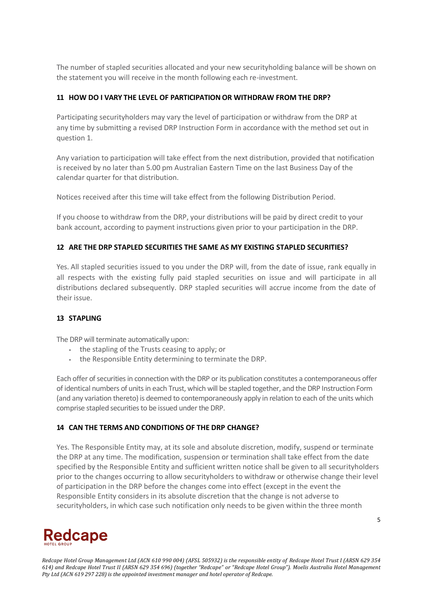The number of stapled securities allocated and your new securityholding balance will be shown on the statement you will receive in the month following each re-investment.

## **11 HOW DO I VARY THE LEVEL OF PARTICIPATION OR WITHDRAW FROM THE DRP?**

Participating securityholders may vary the level of participation or withdraw from the DRP at any time by submitting a revised DRP Instruction Form in accordance with the method set out in question 1.

Any variation to participation will take effect from the next distribution, provided that notification is received by no later than 5.00 pm Australian Eastern Time on the last Business Day of the calendar quarter for that distribution.

Notices received after this time will take effect from the following Distribution Period.

If you choose to withdraw from the DRP, your distributions will be paid by direct credit to your bank account, according to payment instructions given prior to your participation in the DRP.

### **12 ARE THE DRP STAPLED SECURITIES THE SAME AS MY EXISTING STAPLED SECURITIES?**

Yes. All stapled securities issued to you under the DRP will, from the date of issue, rank equally in all respects with the existing fully paid stapled securities on issue and will participate in all distributions declared subsequently. DRP stapled securities will accrue income from the date of their issue.

### **13 STAPLING**

The DRP will terminate automatically upon:

- the stapling of the Trusts ceasing to apply; or
- the Responsible Entity determining to terminate the DRP.

Each offer of securities in connection with the DRP or its publication constitutes a contemporaneous offer of identical numbers of units in each Trust, which will be stapled together, and the DRP Instruction Form (and any variation thereto) is deemed to contemporaneously apply in relation to each of the units which comprise stapled securities to be issued under the DRP.

### **14 CAN THE TERMS AND CONDITIONS OF THE DRP CHANGE?**

Yes. The Responsible Entity may, at its sole and absolute discretion, modify, suspend or terminate the DRP at any time. The modification, suspension or termination shall take effect from the date specified by the Responsible Entity and sufficient written notice shall be given to all securityholders prior to the changes occurring to allow securityholders to withdraw or otherwise change their level of participation in the DRP before the changes come into effect (except in the event the Responsible Entity considers in its absolute discretion that the change is not adverse to securityholders, in which case such notification only needs to be given within the three month

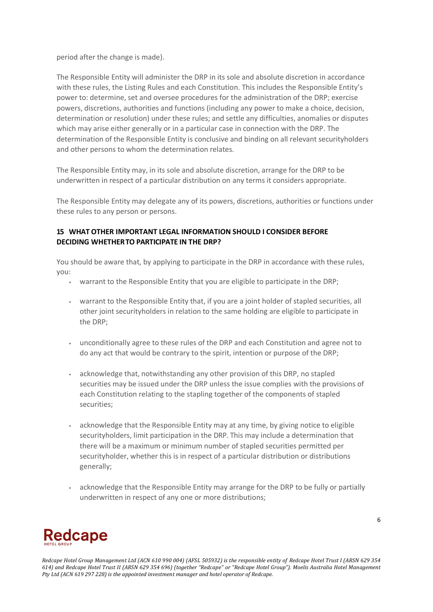period after the change is made).

The Responsible Entity will administer the DRP in its sole and absolute discretion in accordance with these rules, the Listing Rules and each Constitution. This includes the Responsible Entity's power to: determine, set and oversee procedures for the administration of the DRP; exercise powers, discretions, authorities and functions (including any power to make a choice, decision, determination or resolution) under these rules; and settle any difficulties, anomalies or disputes which may arise either generally or in a particular case in connection with the DRP. The determination of the Responsible Entity is conclusive and binding on all relevant securityholders and other persons to whom the determination relates.

The Responsible Entity may, in its sole and absolute discretion, arrange for the DRP to be underwritten in respect of a particular distribution on any terms it considers appropriate.

The Responsible Entity may delegate any of its powers, discretions, authorities or functions under these rules to any person or persons.

# **15 WHAT OTHER IMPORTANT LEGAL INFORMATION SHOULD I CONSIDER BEFORE DECIDING WHETHERTO PARTICIPATE IN THE DRP?**

You should be aware that, by applying to participate in the DRP in accordance with these rules, you:

- warrant to the Responsible Entity that you are eligible to participate in the DRP;
- warrant to the Responsible Entity that, if you are a joint holder of stapled securities, all other joint securityholders in relation to the same holding are eligible to participate in the DRP;
- unconditionally agree to these rules of the DRP and each Constitution and agree not to do any act that would be contrary to the spirit, intention or purpose of the DRP;
- acknowledge that, notwithstanding any other provision of this DRP, no stapled securities may be issued under the DRP unless the issue complies with the provisions of each Constitution relating to the stapling together of the components of stapled securities;
- acknowledge that the Responsible Entity may at any time, by giving notice to eligible securityholders, limit participation in the DRP. This may include a determination that there will be a maximum or minimum number of stapled securities permitted per securityholder, whether this is in respect of a particular distribution or distributions generally;
- acknowledge that the Responsible Entity may arrange for the DRP to be fully or partially underwritten in respect of any one or more distributions;

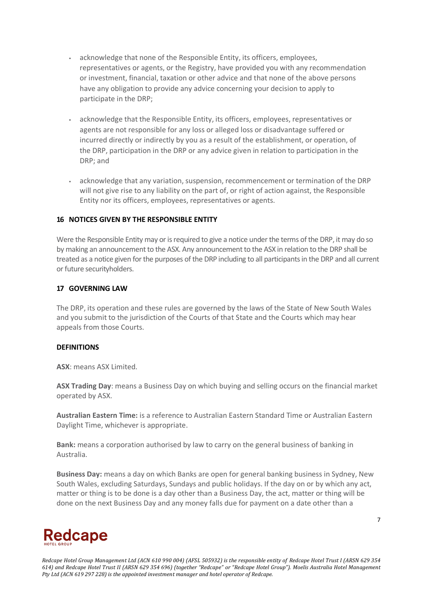- acknowledge that none of the Responsible Entity, its officers, employees, representatives or agents, or the Registry, have provided you with any recommendation or investment, financial, taxation or other advice and that none of the above persons have any obligation to provide any advice concerning your decision to apply to participate in the DRP;
- acknowledge that the Responsible Entity, its officers, employees, representatives or agents are not responsible for any loss or alleged loss or disadvantage suffered or incurred directly or indirectly by you as a result of the establishment, or operation, of the DRP, participation in the DRP or any advice given in relation to participation in the DRP; and
- acknowledge that any variation, suspension, recommencement or termination of the DRP will not give rise to any liability on the part of, or right of action against, the Responsible Entity nor its officers, employees, representatives or agents.

#### **16 NOTICES GIVEN BY THE RESPONSIBLE ENTITY**

Were the Responsible Entity may or is required to give a notice under the terms of the DRP, it may do so by making an announcement to the ASX. Any announcement to the ASX in relation to the DRP shall be treated as a notice given for the purposes of the DRP including to all participants in the DRP and all current or future securityholders.

#### **17 GOVERNING LAW**

The DRP, its operation and these rules are governed by the laws of the State of New South Wales and you submit to the jurisdiction of the Courts of that State and the Courts which may hear appeals from those Courts.

### **DEFINITIONS**

**ASX**: means ASX Limited.

**ASX Trading Day**: means a Business Day on which buying and selling occurs on the financial market operated by ASX.

**Australian Eastern Time:** is a reference to Australian Eastern Standard Time or Australian Eastern Daylight Time, whichever is appropriate.

**Bank:** means a corporation authorised by law to carry on the general business of banking in Australia.

**Business Day:** means a day on which Banks are open for general banking business in Sydney, New South Wales, excluding Saturdays, Sundays and public holidays. If the day on or by which any act, matter or thing is to be done is a day other than a Business Day, the act, matter or thing will be done on the next Business Day and any money falls due for payment on a date other than a